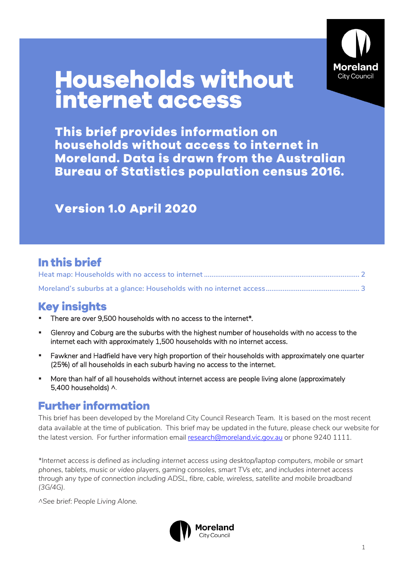

# **Households without<br>internet access**

This brief provides information on households without access to internet in **Moreland. Data is drawn from the Australian Bureau of Statistics population census 2016.** 

## **Version 1.0 April 2020**

### In this brief

## **Key insights**

- There are over 9,500 households with no access to the internet\*.
- Glenroy and Coburg are the suburbs with the highest number of households with no access to the internet each with approximately 1,500 households with no internet access.
- **E** Fawkner and Hadfield have very high proportion of their households with approximately one quarter (25%) of all households in each suburb having no access to the internet.
- More than half of all households without internet access are people living alone (approximately 5,400 households) ^.

#### **Further information**

This brief has been developed by the Moreland City Council Research Team. It is based on the most recent data available at the time of publication. This brief may be updated in the future, please check our website for the latest version. For further information email [research@moreland.vic.gov.au](mailto:research@moreland.vic.gov.au) or phone 9240 1111.

*\*Internet access is defined as including internet access using desktop/laptop computers, mobile or smart phones, tablets, music or video players, gaming consoles, smart TVs etc, and includes internet access through any type of connection including ADSL, fibre, cable, wireless, satellite and mobile broadband (3G/4G).*

*^See brief: People Living Alone.*

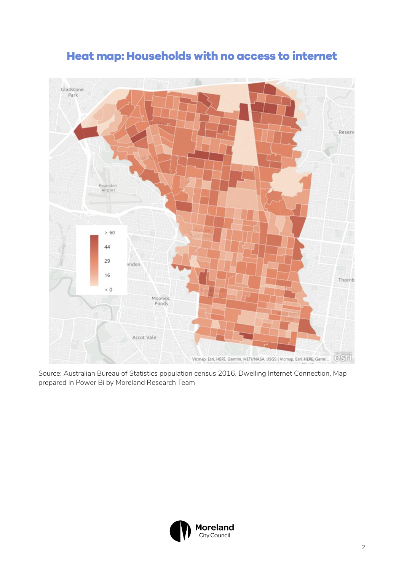<span id="page-1-0"></span>

## Heat map: Households with no access to internet

Source: Australian Bureau of Statistics population census 2016, Dwelling Internet Connection, Map prepared in Power Bi by Moreland Research Team